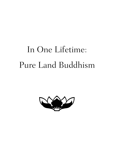# In One Lifetime: Pure Land Buddhism

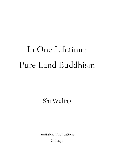# In One Lifetime: Pure Land Buddhism

Shi Wuling

Amitabha Publications Chicago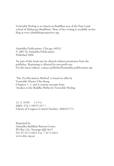Venerable Wuling is an American Buddhist nun of the Pure Land school of Mahayana Buddhism. More of her writing is available on her blog at www.abuddhistperspective.org.

Amitabha Publications, Chicago, 60532 © 2007 by Amitabha Publications Published 2006

No part of this book may be altered without permission from the publisher. Reprinting is allowed for non-profit use. For the latest edition, contact publisher@amitabha-publications.org

"The Ten-Recitation Method" is based on talks by Venerable Master Chin Kung Chapters 1, 3, and 4 contain excerpts from Awaken to the Buddha Within by Venerable Wuling

12 11 10 09 3 4 5 6 ISBN: 978-1-59975-357-7 Library of Congress Control Number: 2006927171

Reprinted by: Amitabha Buddhist Retreat Centre PO Box 216, Nanango Qld 4615 Tel: 07-4171-0421 Fax: 7-4171-0413 www.abrc.org.au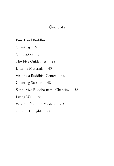## Contents

Chanting 6 Cultivation 8 The Five Guidelines 28 Dharma Materials 45 Visiting a Buddhist Center 46 Chanting Session 48 Supportive Buddha-name Chanting 52 Living Will 58 Wisdom from the Masters 63 Closing Thoughts 68

Pure Land Buddhism 1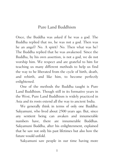## Pure Land Buddhism

Once, the Buddha was asked if he was a god. The Buddha replied that no, he was not a god. Then was he an angel? No. A spirit? No. Then what was he? The Buddha replied that he was awakened. Since the Buddha, by his own assertion, is not a god, we do not worship him. We respect and are grateful to him for teaching us many different methods to help us find the way to be liberated from the cycle of birth, death, and rebirth, and like him, to become perfectly enlightened.

One of the methods the Buddha taught is Pure Land Buddhism. Though still in its formative years in the West, Pure Land Buddhism is widely practiced in Asia and its roots extend all the way to ancient India.

We generally think in terms of only one Buddha: Sakyamuni, who lived about 2500 years ago. But, since any sentient being can awaken and innumerable numbers have, there are innumerable Buddhas. Sakyamuni Buddha, after his enlightenment, explained that he saw not only his past lifetimes but also how the future would unfold.

Sakyamuni saw people in our time having more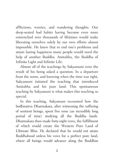afflictions, worries, and wandering thoughts. Our deep-seated bad habits having become even more entrenched over thousands of lifetimes would make liberating ourselves solely by our own efforts almost impossible. He knew that to end one's problems and attain lasting happiness many people would need the help of another Buddha: Amitabha, the Buddha of Infinite Light and Infinite Life.

Almost all of the teachings by Sakyamuni were the result of his being asked a question. In a departure from the norm, and knowing when the time was right, Sakyamuni initiated the teaching that introduced Amitabha and his pure land. This spontaneous teaching by Sakyamuni is what makes this teaching so special.

In this teaching, Sakyamuni recounted how the bodhisattva Dharmakara, after witnessing the suffering of sentient beings, spent five eons (an incredibly long period of time) studying all the Buddha lands. Dharmakara then made forty-eight vows, the fulfillment of which would create the Western Pure Land of Ultimate Bliss. He declared that he would not attain Buddhahood unless his vows for a perfect pure land, where all beings would advance along the Buddhist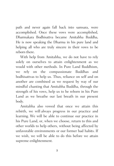path and never again fall back into samsara, were accomplished. Once these vows were accomplished, Dharmakara Bodhisattva became Amitabha Buddha. He is now speaking the Dharma in his pure land and helping all who are truly sincere in their vows to be reborn there.

With help from Amitabha, we do not have to rely solely on ourselves to attain enlightenment as we would with other methods. In Pure Land Buddhism, we rely on the compassionate Buddhas and bodhisattvas to help us. Thus, reliance on self and on another are combined as we request by way of our mindful chanting that Amitabha Buddha, through the strength of his vows, help us to be reborn in his Pure Land as we breathe our last breath in our present body.

Amitabha also vowed that once we attain this rebirth, we will always progress in our practice and learning. We will be able to continue our practice in his Pure Land, or, when we choose, return to this and other worlds to help others, without being affected by unfavorable environments or our former bad habits. If we wish, we will be able to do this before we attain supreme enlightenment.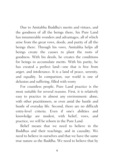Due to Amitabha Buddha's merits and virtues, and the goodness of all the beings there, his Pure Land has innumerable wonders and advantages, all of which arise from the great vows, deeds, and purity of all the beings there. Through his vows, Amitabha helps all beings create the causes to plant the roots of goodness. With his deeds, he creates the conditions for beings to accumulate merits. With his purity, he has created a perfect land—one that is free from anger, and intolerance. It is a land of peace, serenity, and equality. In comparison, our world is one of delusion and suffering, filled with worry

For countless people, Pure Land practice is the most suitable for several reasons. First, it is relatively easy to practice in almost any environment: alone, with other practitioners, or even amid the hustle and bustle of everyday life. Second, there are no difficult entry-level criteria. Even if one's abilities and knowledge are modest, with belief, vows, and practice, we will be reborn in the Pure Land.

Belief means that we need to believe in the Buddhas and their teachings, and in causality. We need to believe in ourselves and that we have the same true nature as the Buddha. We need to believe that by

4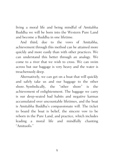living a moral life and being mindful of Amitabha Buddha we will be born into the Western Pure Land and become a Buddha in one lifetime.

And third, due to the vows of Amitabha, achievement through this method can be attained more quickly and more easily than with other practices. We can understand this better through an analogy. We come to a river that we wish to cross. We can swim across but our baggage is very heavy and the water is treacherously deep.

Alternatively, we can get on a boat that will quickly and safely take us and our baggage to the other shore. Symbolically, the "other shore" is the achievement of enlightenment. The baggage we carry is our deep-seated bad habits and negative karmas accumulated over uncountable lifetimes, and the boat is Amitabha Buddha's compassionate will. The ticket to board the boat is belief, the sincere vow to be reborn in the Pure Land, and practice, which includes leading a moral life and mindfully chanting "Amituofo."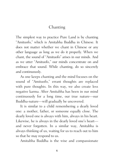# Chanting

The simplest way to practice Pure Land is by chanting "Amituofo," which is Amitabha Buddha in Chinese. It does not matter whether we chant in Chinese or any other language as long as we do it properly. When we chant, the sound of "Amituofo" arises in our minds. And as we utter "Amituofo," our minds concentrate on and embrace that sound. While chanting, do so sincerely and continuously.

As one keeps chanting and the mind focuses on the sound of "Amituofo," errant thoughts are replaced with pure thoughts. In this way, we also create less negative karma. After Amitabha has been in our mind continuously for a long time, our true nature—our Buddha-nature—will gradually be uncovered.

It is similar to a child remembering a dearly loved one: a mother, father, or someone equally close. The dearly loved one is always with him, always in his heart. Likewise, he is always in the dearly loved one's heart and never forgotten. In a similar way, Amitabha is always thinking of us, waiting for us to reach out to him so that he may respond to us.

Amitabha Buddha is the wise and compassionate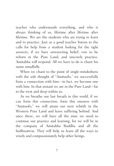teacher who understands everything, and who is always thinking of us, lifetime after lifetime after lifetime. We are the students who are trying to learn and to practice. Just as a good teacher listens to the calls for help from a student looking for the right answers, if we have unwavering belief, vow to be reborn in the Pure Land, and sincerely practice, Amitabha will respond. All we have to do is chant his name mindfully.

When we chant to the point of single-mindedness with the sole thought of "Amituofo," we successfully form a connection with him—in fact, we become one with him. In that instant we are in the Pure Land—far to the west and deep within us.

As we breathe our last breath in this world, if we can form this connection, form this oneness with "Amituofo," we will attain our next rebirth in the Western Pure Land and leave suffering behind. And once there, we will have all the time we need to continue our practice and learning, for we will be in the company of Amitabha Buddha and all the bodhisattvas. They will help us learn all the ways to wisely and compassionately help other beings.

7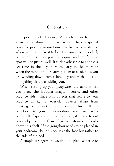## Cultivation

Our practice of chanting "Amituofo" can be done anywhere anytime. But if we wish to have a special place for practice in our home, we first need to decide where we would like it to be. A separate room is ideal, but when this is not possible a quiet and comfortable spot will do just as well. It is also advisable to choose a set time in the day, perhaps early in the morning when the mind is still relatively calm or at night as you are winding down from a long day and wish to let go of anything that is troubling you.

When setting up your *gongzhou* (the table where you place the Buddha image, incense, and other practice aids), place only objects that relate to your practice on it, not everyday objects. Apart from creating a respectful atmosphere, this will be beneficial to your concentration. You can use a bookshelf if space is limited; however, it is best to not place objects other than Dharma materials or books above this shelf. If the gongzhou needs to be placed in your bedroom, do not place it at the foot but rather to the side of the bed.

A simple arrangement would be to place a statue or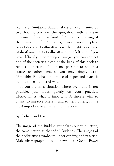picture of Amitabha Buddha alone or accompanied by two bodhisattvas on the gongzhou with a clean container of water in front of Amitabha. Looking at the image of Amitabha, you would place Avalokitesvara Bodhisattva on the right side and Mahasthamaprapta Bodhisattva on the left side. If you have difficulty in obtaining an image, you can contact one of the societies listed at the back of this book to request a picture. If it is not possible to obtain a statue or other images, you may simply write "Amitabha Buddha" on a piece of paper and place it behind the container of water.

If you are in a situation where even this is not possible, just focus quietly on your practice. Motivation is what is important. A sincere wish to chant, to improve oneself, and to help others, is the most important requirement for practice.

#### Symbolism and Use

The image of the Buddha symbolizes our true nature, the same nature as that of all Buddhas. The images of the bodhisattvas symbolize understanding and practice. Mahasthamaprapta, also known as Great Power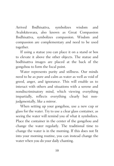Arrived Bodhisattva, symbolizes wisdom and Avalokitesvara, also known as Great Compassion Bodhisattva, symbolizes compassion. Wisdom and compassion are complementary and need to be used together.

If using a statue you can place it on a stand or box to elevate it above the other objects. The statue and bodhisattva images are placed at the back of the gongzhou to form the focal point.

Water represents purity and stillness. Our minds need to be as pure and calm as water as well as void of greed, anger, and ignorance. This will enable us to interact with others and situations with a serene and nondiscriminatory mind, which viewing everything impartially, reflects everything clearly but nonjudgmentally, like a mirror.

When setting up your gongzhou, use a new cup or glass for the water. Try to use a clear glass container, as seeing the water will remind you of what it symbolizes. Place the container in the center of the gongzhou and change the water regularly. The traditional time to change the water is in the morning. If this does not fit into your morning routine, you can instead change the water when you do your daily chanting.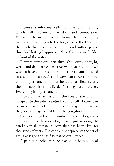Incense symbolizes self-discipline and training which will awaken our wisdom and compassion. When lit, the incense is transformed from something hard and unyielding into the fragrance of the Dharma, the truth that teaches us how to end suffering and thus find lasting happiness. Place the incense holder in front of the water.

Flowers represent causality. Our every thought, word, and deed are causes that will bear results. If we wish to have good results we must first plant the seed to create the cause. Also, flowers can serve to remind us of impermanence for as beautiful as flowers are, their beauty is short-lived. Nothing lasts forever. Everything is impermanent.

Flowers may be placed at the foot of the Buddha image or to the side. A potted plant or silk flowers can be used instead of cut flowers. Change them when they are no longer suitable for the gongzhou.

Candles symbolize wisdom and brightness illuminating the darkness of ignorance, just as a single lit candle can illuminate a room that has been dark for thousands of years. The candle also represents the act of giving as it gives of itself so that others may see.

A pair of candles may be placed on both sides of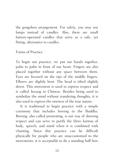the gongzhou arrangement. For safety, you may use lamps instead of candles. Also, there are small battery-operated candles that serve as a safe, yet fitting, alternative to candles.

#### Forms of Practice

To begin our practice, we put our hands together, palm to palm in front of our heart. Fingers are also placed together without any space between them. Eyes are focused on the tips of the middle fingers. Elbows are slightly bent. The head is tilted slightly down. This movement is used to express respect and is called hezang in Chinese. Besides being used to symbolize the mind without wandering thoughts, it is also used to express the oneness of the true nature.

It is traditional to begin practice with a simple ceremony that includes bowing to the Buddha. Bowing, also called prostrating, is our way of showing respect and can serve to purify the three karmas of body, speech, and mind when it is combined with chanting. Since this practice can be difficult physically for people who are unaccustomed to the movements, it is acceptable to do a standing half bow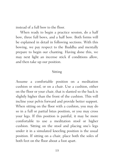instead of a full bow to the floor.

When ready to begin a practice session, do a half bow, three full bows, and a half bow. Both forms will be explained in detail in following sections. With this bowing, we pay respect to the Buddha and mentally prepare to begin our chanting. Having done this, we may next light an incense stick if conditions allow, and then take up our position.

#### Sitting

Assume a comfortable position on a meditation cushion or stool, or on a chair. Use a cushion, either on the floor or your chair, that is slanted so the back is slightly higher than the front of the cushion. This will incline your pelvis forward and provide better support. When sitting on the floor with a cushion, you may do so in a full or partial lotus position, or you may cross your legs. If this position is painful, it may be more comfortable to use a meditation stool or higher cushion. Sitting on the stool and placing one's legs under it in a simulated kneeling position is the usual position. If sitting on a chair, place both the soles of both feet on the floor about a foot apart.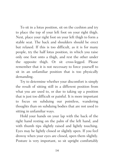To sit in a lotus position, sit on the cushion and try to place the top of your left foot on your right thigh. Next, place your right foot on your left thigh to form a stable seat. The back and shoulders should be erect but relaxed. If this is too difficult, as it is for many people, try the half lotus position, in which you raise only one foot onto a thigh, and rest the other under the opposite thigh. Or sit cross-legged. Please remember that it is not necessary to force yourself to sit in an unfamiliar position that is too physically demanding.

Try to determine whether your discomfort is simply the result of sitting still in a different position from what you are used to, or due to taking up a position that is just too difficult or painful. It is more important to focus on subduing our pointless, wandering thoughts than on subduing bodies that are not used to sitting in unfamiliar ways.

Hold your hands on your lap with the back of the right hand resting on the palm of the left hand, and with thumb tips slightly raised and lightly touching. Eyes may be lightly closed or slightly open. If you feel drowsy when your eyes are closed, open them slightly. Posture is very important, so sit upright comfortably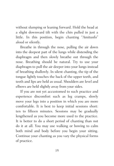without slumping or leaning forward. Hold the head at a slight downward tilt with the chin pulled in just a little. In this position, begin chanting "Amituofo" aloud or silently.

Breathe in through the nose, pulling the air down into the deepest part of the lungs while distending the diaphragm and then slowly breathe out through the nose. Breathing should be natural. Try to use your diaphragm to pull the air deeper into your lungs instead of breathing shallowly. In silent chanting, the tip of the tongue lightly touches the back of the upper teeth, and teeth and lips are held as usual. Shoulders are level and elbows are held slightly away from your sides.

If you are not yet accustomed to such practice and experience discomfort such as leg cramps, slowly move your legs into a position in which you are more comfortable. It is best to keep initial sessions short: ten to fifteen minutes. Sessions may be gradually lengthened as you become more used to the practice. It is better to do a short period of chanting than not do it at all. You may use walking or bowing to calm both mind and body before you begin your sitting. Continue your chanting as you vary the physical forms of practice.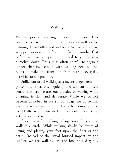## Walking

We can practice walking indoors or outdoors. This practice is excellent for mindfulness as well as for calming down both mind and body. We are usually so wrapped up in rushing from one place to another that before we can sit quietly we need to gently slow ourselves down. Thus, it is often helpful to begin a longer chanting session with walking because this helps to make the transition from hurried everyday activities to our practice.

Unlike our usual walking as a means to get from one place to another, often quickly and without any real sense of where we are, our practice of walking while chanting is slow and deliberate. While we do not become absorbed in our surroundings, we do remain aware of where we are and what is happening around us. Ideally, we remain alert but are not distracted by activities around us.

If your area for walking is large enough, you can walk in a circle. While walking slowly, be aware of lifting and placing your feet upon the floor or the earth. Instead of the usual hurried impact on the surface we are walking on, the foot should gently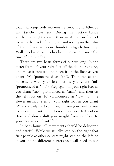touch it. Keep body movements smooth and lithe, as with tai chi movements. During this practice, hands are held at slightly lower than waist level in front of us, with the back of the right hand resting on the palm of the left and with our thumb tips lightly touching. Walk clockwise, as this has been the custom since the time of the Buddha.

There are two basic forms of our walking. In the faster form, lift your right foot off the floor, or ground, and move it forward and place it on the floor as you chant "A" (pronounced as "ah"). Then repeat the movement with your left foot as you chant "mi" (pronounced as "me"). Step again on your right foot as you chant "tuo" (pronounced as "tuaw") and then on the left foot on "fo" (pronounced as "faw"). In the slower method, step on your right foot as you chant "A" and slowly shift your weight from your heel to your toes as you chant "mi." Then step on your left foot on "tuo" and slowly shift your weight from your heel to your toes as you chant "fo."

In both forms, all movements should be deliberate and careful. While we usually step on the right foot first people at other centers might step on the left, so if you attend different centers you will need to see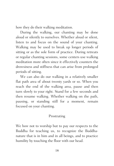how they do their walking meditation.

During the walking, our chanting may be done aloud or silently to ourselves. Whether aloud or silent, listen to and focus on the sound of your chanting. Walking may be used to break up longer periods of sitting or as the sole form of practice. During retreats or regular chanting sessions, some centers use walking meditation more often since it effectively counters the drowsiness and stiffness that can arise from prolonged periods of sitting.

We can also do our walking in a relatively smaller flat path area of about twenty yards or so. When you reach the end of the walking area, pause and then turn slowly to your right. Stand for a few seconds and then resume walking. Whether walking on the path, pausing, or standing still for a moment, remain focused on your chanting.

#### Prostrating

We bow not to worship but to pay our respects to the Buddha for teaching us, to recognize the Buddhanature that is in him and in all beings, and to practice humility by touching the floor with our head.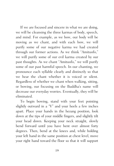If we are focused and sincere in what we are doing, we will be cleansing the three karmas of body, speech, and mind. For example, as we bow, our body will be moving as we chant, and with each bow, we will purify some of our negative karma we had created through our former actions. As we think "Amituofo," we will purify some of our evil karma created by our past thoughts. As we chant "Amituofo," we will purify some of our past harmful speech. In our chanting, we pronounce each syllable clearly and distinctly so that we hear the chant whether it is voiced or silent. Regardless of whether we chant when walking, sitting, or bowing, our focusing on the Buddha's name will decrease our everyday worries. Eventually, they will be eliminated.

To begin bowing, stand with your feet pointing slightly outward in a "V" and your heels a few inches apart. Place your hands in the hezang position, look down at the tips of your middle fingers, and slightly tilt your head down. Keeping your neck straight, slowly bend forward until you have bent over almost forty degrees. Then, bend at the knees and, while holding your left hand in the same position at chest level, move your right hand toward the floor so that it will support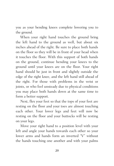you as your bending knees complete lowering you to the ground.

When your right hand touches the ground bring the left hand to the ground as well, but about six inches ahead of the right. Be sure to place both hands on the floor so they will be in front of your head when it touches the floor. With this support of both hands on the ground, continue bending your knees to the ground until your knees are on the floor. Your right hand should be just in front and slightly outside the edge of the right knee, and the left hand still ahead of the right. For those with problems in the wrist or joints, or who feel unsteady due to physical conditions you may place both hands down at the same time to form a better support.

Next, flex your feet so that the tops of your feet are resting on the floor and your toes are almost touching each other. Your lower legs and feet will now be resting on the floor and your buttocks will be resting on your legs.

Move your right hand to a position level with your left and angle your hands towards each other so your lower arms and hands form an inverted "V" without the hands touching one another and with your palms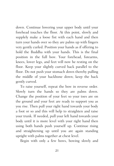down. Continue lowering your upper body until your forehead touches the floor. At this point, slowly and supplely make a loose fist with each hand and then turn your hands over so they are palms up with fingers very gently curled. Position your hands as if offering to hold the Buddha with your hands. This is the final position in the full bow. Your forehead, forearms, knees, lower legs, and feet will now be resting on the floor. Keep your slightly curved back parallel to the floor. Do not push your stomach down thereby pulling the middle of your backbone down; keep the back gently curved.

To raise yourself, repeat the bow in reverse order. Slowly turn the hands so they are palms down. Change the position of your feet so your toes are on the ground and your feet are ready to support you as you rise. Then pull your right hand towards your body a foot or so and this will help to straighten and raise your trunk. If needed, pull your left hand towards your body until it is more level with your right hand then using both hands push yourself up. Continue rising and straightening up until you are again standing upright with palms together at chest level.

Begin with only a few bows, bowing slowly and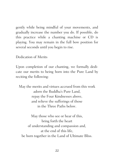gently while being mindful of your movements, and gradually increase the number you do. If possible, do this practice while a chanting machine or CD is playing. You may remain in the full bow position for several seconds until you begin to rise.

Dedication of Merits

Upon completion of our chanting, we formally dedicate our merits to being born into the Pure Land by reciting the following:

May the merits and virtues accrued from this work adorn the Buddha's Pure Land, repay the Four Kindnesses above, and relieve the sufferings of those in the Three Paths below.

May those who see or hear of this, bring forth the heart of understanding and compassion and, at the end of this life, be born together in the Land of Ultimate Bliss.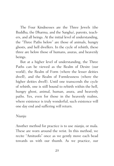The Four Kindnesses are the Three Jewels (the Buddha, the Dharma, and the Sangha), parents, teachers, and all beings. At the initial level of understanding, the "Three Paths below" are those of animals, hungry ghosts, and hell dwellers. In the cycle of rebirth, these three are below those of humans, asuras, and heavenly beings.

But at a higher level of understanding, the Three Paths can be viewed as the Realm of Desire (our world), the Realm of Form (where the lesser deities dwell), and the Realm of Formlessness (where the higher deities dwell). Until one transcends the cycle of rebirth, one is still bound to rebirth within the hell, hungry ghost, animal, human, asura, and heavenly paths. Yes, even for those in the heavenly realms, where existence is truly wonderful, such existence will one day end and suffering will return.

Nianju

Another method for practice is to use nianju, or mala. These are worn around the wrist. In this method, we recite "Amituofo" once as we gently move each bead towards us with our thumb. As we practice, our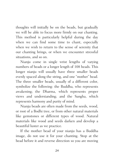thoughts will initially be on the beads, but gradually we will be able to focus more firmly on our chanting. This method is particularly helpful during the day when we can find some time to chant, especially when we wish to return to the sense of serenity that our chanting brings, or when we encounter stressful situations, and so on.

Nianju come in single wrist lengths of varying numbers of beads or a longer length of 108 beads. This longer nianju will usually have three smaller beads evenly spaced along the string, and one "mother" bead. The three smaller beads, usually of a different color, symbolize the following: the Buddha, who represents awakening; the Dharma, which represents proper views and understanding; and the Sangha, which represents harmony and purity of mind.

Nianju beads are often made from the seeds, wood, or root of a Bodhi tree, or from other natural materials like gemstones or different types of wood. Natural materials like wood and seeds darken and develop a beautiful luster as we practice.

If the mother bead of your nianju has a Buddha image, do not use it for your chanting. Stop at the bead before it and reverse direction so you are moving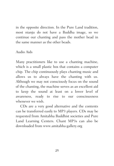in the opposite direction. In the Pure Land tradition, most nianju do not have a Buddha image, so we continue our chanting and pass the mother bead in the same manner as the other beads.

### Audio Aids

Many practitioners like to use a chanting machine, which is a small plastic box that contains a computer chip. The chip continuously plays chanting music and allows us to always have the chanting with us. Although we may not consciously focus on the sound of the chanting, the machine serves as an excellent aid to keep the sound at least on a lower level of awareness, ready to rise to our consciousness whenever we wish.

CDs are a very good alternative and the contents can be transferred easily to MP3 players. CDs may be requested from Amitabha Buddhist societies and Pure Land Learning Centers. Chant MP3s can also be downloaded from www.amitabha-gallery.org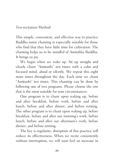## Ten-recitation Method

This simple, convenient, and effective way to practice Buddha name chanting is especially suitable for those who find that they have little time for cultivation. The chanting helps us to be mindful of Amitabha Buddha. It brings us joy.

We begin when we wake up. Sit up straight and clearly chant "Amituofo" ten times with a calm and focused mind, aloud or silently. We repeat this eight more times throughout the day. Each time we chant "Amituofo" ten times. This chanting can be done by following one of two programs. Please choose the one that is the most suitable for your circumstances.

One program is to chant upon waking up, before and after breakfast, before work, before and after lunch, before and after dinner, and before retiring. The other program is to chant upon waking up, before breakfast, before and after our morning's work, before lunch, before and after our afternoon's work, before dinner, and before retiring.

The key is regularity; disruption of this practice will reduce its effectiveness. When we recite consistently without interruption, we will soon feel an increase in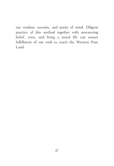our wisdom, serenity, and purity of mind. Diligent practice of this method together with unwavering belief, vows, and living a moral life can ensure fulfillment of our wish to reach the Western Pure Land.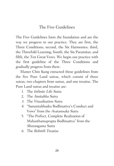# The Five Guidelines

The Five Guidelines form the foundation and are the way we progress in our practice. They are first, the Three Conditions; second, the Six Harmonies; third, the Threefold Learning; fourth, the Six Paramitas; and fifth, the Ten Great Vows. We begin our practice with the first guideline of the Three Conditions and gradually progress from there.

Master Chin Kung extracted these guidelines from the five Pure Land sutras, which consist of three sutras, two chapters from sutras, and one treatise. The Pure Land sutras and treatise are:

- 1. The Infinite Life Sutra
- 2. The Amitabha Sutra
- 3. The Visualization Sutra
- 4. "Samantabhadra Bodhisattva's Conduct and Vows" from the Avatamsaka Sutra
- 5. "The Perfect, Complete Realization of Mahasthamaprapta Bodhisattva" from the Shurangama Sutra
- 6. The Rebirth Treatise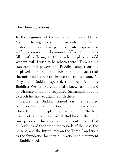### The Three Conditions

In the beginning of the Visualization Sutra, Queen Vaidehi, having encountered overwhelming family misfortunes and having thus truly experienced suffering, entreated Sakyamuni Buddha, "The world is filled with suffering. Isn't there a better place, a world without evil? I wish to be reborn there." Through his transcendental powers, the Buddha compassionately displayed all the Buddha Lands in the ten quarters [of the universe] for her to observe and choose from. As Sakyamuni Buddha expected, she chose Amitabha Buddha's Western Pure Land, also known as the Land of Ultimate Bliss, and requested Sakyamuni Buddha to teach her how to attain rebirth there.

Before the Buddha started on the required practices for rebirth, he taught her to practice the Three Conditions, explaining that they were "the true causes of pure activities of all Buddhas of the three time periods." This important statement tells us that all Buddhas of the three time periods of the past, the present, and the future, rely on the Three Conditions as the foundation for their cultivation and attainment of Buddhahood.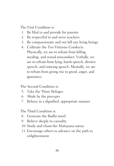The First Condition is:

- 1. Be filial to and provide for parents
- 2. Be respectful to and serve teachers
- 3. Be compassionate and not kill any living beings
- 4. Cultivate the Ten Virtuous Conducts. Physically, we are to refrain from killing, stealing, and sexual misconduct. Verbally, we are to refrain from lying, harsh speech, divisive speech, and enticing speech. Mentally, we are to refrain from giving rise to greed, anger, and ignorance.

The Second Condition is:

- 5. Take the Three Refuges
- 6. Abide by the precepts
- 7. Behave in a dignified, appropriate manner

The Third Condition is:

- 8. Generate the Bodhi mind
- 9. Believe deeply in causality
- 10. Study and chant the Mahayana sutras
- 11. Encourage others to advance on the path to enlightenment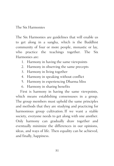### The Six Harmonies

The Six Harmonies are guidelines that will enable us to get along in a sangha, which is the Buddhist community of four or more people, monastic or lay, who practice the teachings together. The Six Harmonies are:

- 1. Harmony in having the same viewpoints
- 2. Harmony in observing the same precepts
- 3. Harmony in living together
- 4. Harmony in speaking without conflict
- 5. Harmony in experiencing Dharma bliss
- 6. Harmony in sharing benefits

First is harmony in having the same viewpoints, which means establishing consensuses in a group. The group members must uphold the same principles and methods that they are studying and practicing for harmonious group cultivation. If we want a stable society, everyone needs to get along with one another. Only harmony can gradually draw together and eventually minimize the differences in our opinions, ideas, and ways of life. Then equality can be achieved, and finally, happiness.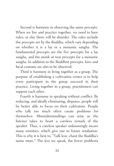Second is harmony in observing the same precepts. When we live and practice together, we need to have rules, or else there will be disorder. The rules include the precepts set by the Buddha, which vary depending on whether it is a lay or a monastic sangha. The fundamental precepts are the five precepts for a lay sangha, and the monk or nun precepts for a monastic sangha. In addition to the Buddhist precepts, laws and local customs are also to be observed.

Third is harmony in living together as a group. The purpose of establishing a cultivation center is to help every participant in the group succeed in their practice. Living together in a group, practitioners can support each other.

Fourth is harmony in speaking without conflict. By reducing, and ideally eliminating, disputes, people will be better able to focus on their cultivation. People who talk too much often create problems for themselves. Misunderstandings can arise as the listener takes to heart a careless remark of the speaker. Thus, a careless speaker unknowingly incurs many enmities, which give rise to future retaliation. This is why it is best to, "Talk less; chant the Buddha's name more." The less we speak, the fewer problems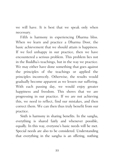we will have. It is best that we speak only when necessary.

Fifth is harmony in experiencing Dharma bliss. When we learn and practice a Dharma Door, the basic achievement that we should attain is happiness. If we feel unhappy in our practice, then we have encountered a serious problem. This problem lies not in the Buddha's teachings, but in the way we practice. We may either have done something that goes against the principles of the teachings or applied the principles incorrectly. Otherwise, the results would gradually become apparent as we lessen our suffering. With each passing day, we would enjoy greater happiness and freedom. This shows that we are progressing in our practice. If we are not achieving this, we need to reflect, find our mistakes, and then correct them. We can then thus truly benefit from our practice.

Sixth is harmony in sharing benefits. In the sangha, everything is shared fairly and whenever possible, equally. In this way, everyone's basic needs will be met. Special needs are also to be considered. Understanding that everything in the sangha is an offering, nothing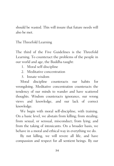should be wasted. This will insure that future needs will also be met.

The Threefold Learning

The third of the Five Guidelines is the Threefold Learning. To counteract the problems of the people in our world and age, the Buddha taught:

- 1. Moral self-discipline
- 2. Meditative concentration
- 3. Innate wisdom

Moral discipline counteracts our habits for wrongdoing. Meditative concentration counteracts the tendency of our minds to wander and have scattered thoughts. Wisdom counteracts ignorance, our wrong views and knowledge, and our lack of correct knowledge.

We begin with moral self-discipline, with training. On a basic level, we abstain from killing; from stealing; from sexual, or sensual, misconduct; from lying; and from the taking of intoxicants. On a broader basis, we behave in a moral and ethical way in everything we do.

By not killing, we will revere all life, and have compassion and respect for all sentient beings. By our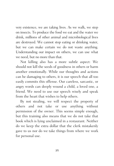very existence, we are taking lives. As we walk, we step on insects. To produce the food we eat and the water we drink, millions of other animal and microbiological lives are destroyed. We cannot stop eating or drinking water, but we can make certain we do not waste anything. Understanding our impact on others, we can use what we need, but no more than that.

Not killing also has a more subtle aspect: We should not kill the seeds of goodness in others or harm another emotionally. While our thoughts and actions can be damaging to others, it is our speech that all too easily commits this offense. Our careless, sarcastic, or angry words can deeply wound a child, a loved one, a friend. We need to use our speech wisely and speak from the heart that wishes to help others.

By not stealing, we will respect the property of others and not take or use anything without permission of the owner. This seems simple enough, but this training also means that we do not take that book which is lying unclaimed in a restaurant. Neither do we keep the extra dollar that the clerk mistakenly gave to us nor do we take things from where we work for personal use.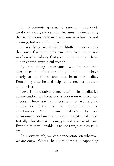By not committing sexual, or sensual, misconduct, we do not indulge in sensual pleasures, understanding that to do so not only increases our attachments and cravings, but our suffering as well.

By not lying, we speak truthfully, understanding the power that our words can have. We choose our words wisely realizing that great harm can result from ill-considered, untruthful speech.

By not taking intoxicants, we do not take substances that affect our ability to think and behave clearly at all times, and that harm our bodies. Remaining clear-headed helps us to not harm others or ourselves.

Next is meditative concentration. In meditative concentration, we focus our attention on whatever we choose. There are no distractions or worries, no doubts or drowsiness, no discriminations or attachments: We remain unaffected by our environment and maintain a calm, undisturbed mind. Initially, this state will bring joy and a sense of ease. Eventually, it will enable us to see things as they truly are.

In everyday life, we can concentrate on whatever we are doing. We will be aware of what is happening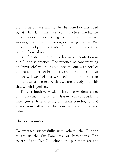around us but we will not be distracted or disturbed by it. In daily life, we can practice meditative concentration in everything we do: whether we are working, watering the garden, or driving our car. We choose the object or activity of our attention and then remain focused on it.

We also strive to attain meditative concentration in our Buddhist practice. The practice of concentrating on "Amituofo" will help us to become one with perfect compassion, perfect happiness, and perfect peace. No longer will we feel that we need to attain perfection on our own as we realize that we are already one with that which is perfect.

Third is intuitive wisdom. Intuitive wisdom is not an intellectual pursuit nor is it a measure of academic intelligence. It is knowing and understanding, and it arises from within us when our minds are clear and calm.

The Six Paramitas

To interact successfully with others, the Buddha taught us the Six Paramitas, or Perfections. The fourth of the Five Guidelines, the paramitas are the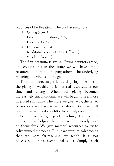practices of bodhisattvas. The Six Paramitas are:

- 1. Giving (dana)
- 2. Precept observation (shila)
- 3. Patience (kshanti)
- 4. Diligence (virya)
- 5. Meditative concentration (dhyana)
- 6. Wisdom (prajna)

The first paramita is giving. Giving counters greed, and ensures that in the future we will have ample resources to continue helping others. The underlying meaning of giving is letting go.

There are three major kinds of giving. The first is the giving of wealth, be it material resources or our time and energy. When our giving becomes increasingly unconditional, we will begin to feel more liberated spiritually. The more we give away, the fewer possessions we have to worry about. Soon we will realize that we need very little to be truly content.

Second is the giving of teaching. By teaching others, we are helping them to learn how to rely more on themselves. We give material resources to try to solve immediate needs. But, if we want to solve needs that are more far-reaching, we teach. It is not necessary to have exceptional skills. Simply teach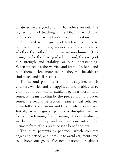whatever we are good at and what others are not. The highest form of teaching is the Dharma, which can help people find lasting happiness and liberation.

And third is the giving of fearlessness. It is to remove the insecurities, worries, and fears of others, whether the "other" is human or non-human. This giving can be the sharing of a kind word, the giving of our strength and stability, or our understanding. When we relieve the worries and fears of others, and help them to feel more secure, they will be able to find peace and self-respect.

The second paramita is moral discipline, which counters worries and unhappiness, and enables us to continue on our way to awakening. In a more literal sense, it means abiding by the precepts. In a broader sense, the second perfection means ethical behavior, as we follow the customs and laws of wherever we are. Initially, as we begin our practice of discipline, we can focus on refraining from harming others. Gradually, we begin to develop and increase our virtue. The ultimate form of this practice is to benefit others.

The third paramita is patience, which counters anger and hatred, and helps us to avoid arguments and to achieve our goals. We need patience in almost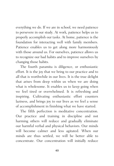everything we do. If we are in school, we need patience to persevere in our study. At work, patience helps us to properly accomplish our tasks. At home, patience is the foundation for interacting well with family members. Patience enables us to get along more harmoniously with those around us. For ourselves, patience allows us to recognize our bad habits and to improve ourselves by changing those habits.

The fourth paramita is diligence, or enthusiastic effort. It is the joy that we bring to our practice and to all that is worthwhile in our lives. It is the true delight that arises from deep within us when we are doing what is wholesome. It enables us to keep going when we feel tired or overwhelmed. It is refreshing and inspiring. Cultivating enthusiastic effort counters laziness, and brings joy to our lives as we feel a sense of accomplishment in finishing what we have started.

The fifth perfection is meditative concentration. Our practice and training in discipline and not harming others will reduce and gradually eliminate our harmful verbal and physical behaviors. Our minds will become calmer and less agitated. When our minds are thus settled, we will be better able to concentrate. Our concentration will initially reduce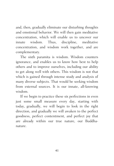and, then, gradually eliminate our disturbing thoughts and emotional behavior. We will then gain meditative concentration, which will enable us to uncover our innate wisdom. Thus, discipline, meditative concentration, and wisdom work together, and are complementary.

The sixth paramita is wisdom. Wisdom counters ignorance, and enables us to know how best to help others and to improve ourselves, including our ability to get along well with others. This wisdom is not that which is gained through intense study and analysis of many diverse subjects. That would be seeking wisdom from external sources. It is our innate, all-knowing wisdom.

If we begin to practice these six perfections in even just some small measure every day, starting with today, gradually, we will begin to look in the right direction, and gradually we will awaken to the perfect goodness, perfect contentment, and perfect joy that are already within our true nature, our Buddhanature.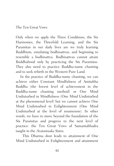#### The Ten Great Vows

Only when we apply the Three Conditions, the Six Harmonies, the Threefold Learning, and the Six Paramitas in our daily lives are we truly learning Buddhism, emulating bodhisattvas, and beginning to resemble a bodhisattva. Bodhisattvas cannot attain Buddhahood only by practicing the Six Paramitas. They also need to practice Buddha-name chanting and to seek rebirth in the Western Pure Land.

In the practice of Buddha-name chanting, we can achieve either Constant Mindfulness of Amitabha Buddha (the lowest level of achievement in the Buddha-name chanting method) or One Mind Undisturbed in Mindfulness (One Mind Undisturbed at the phenomenal level) but we cannot achieve One Mind Undisturbed in Enlightenment (One Mind Undisturbed at the level of noumenon). In other words, we have to move beyond the foundation of the Six Paramitas and progress to the next level of practice: the Ten Great Vows of Samantabhadra taught in the Avatamsaka Sutra.

This Dharma door leads to attainment of One Mind Undisturbed in Enlightenment and attainment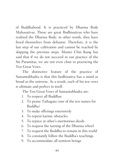of Buddhahood. It is practiced by Dharma Body Mahasattvas. These are great Bodhisattvas who have realized the Dharma Body; in other words, they have freed themselves from delusion. Therefore, it is the last step of our cultivation and cannot be reached by skipping the previous steps. Master Chin Kung has said that if we do not succeed in our practice of the Six Paramitas, we are not even close to practicing the Ten Great Vows.

The distinctive feature of the practice of Samantabhadra is that this bodhisattva has a mind as broad as the universe. As a result, each of his ten vows is ultimate and perfect in itself.

The Ten Great Vows of Samantabhadra are:

- 1. To respect all Buddhas
- 2. To praise Tathagata (one of the ten names for Buddha)
- 3. To make offerings extensively
- 4. To repent karmic obstacles
- 5. To rejoice at other's meritorious deeds
- 6. To request the turning of the Dharma wheel
- 7. To request the Buddha to remain in this world
- 8. To constantly follow the Buddha's teachings
- 9. To accommodate all sentient beings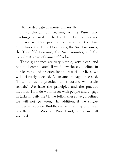10. To dedicate all merits universally

In conclusion, our learning of the Pure Land teachings is based on the five Pure Land sutras and one treatise. Our practice is based on the Five Guidelines: the Three Conditions, the Six Harmonies, the Threefold Learning, the Six Paramitas, and the Ten Great Vows of Samantabhadra.

These guidelines are very simple, very clear, and not at all complicated. If we follow these guidelines in our learning and practice for the rest of our lives, we will definitely succeed. As an ancient sage once said, "If ten thousand practice, ten thousand will attain rebirth." We have the principles and the practice methods. How do we interact with people and engage in tasks in daily life? If we follow these five guidelines we will not go wrong. In addition, if we singlemindedly practice Buddha-name chanting and seek rebirth in the Western Pure Land, all of us will succeed.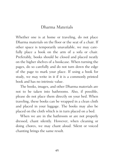## Dharma Materials

Whether one is at home or traveling, do not place Dharma materials on the floor or the seat of a chair. If other space is temporarily unavailable, we may carefully place a book on the arm of a sofa or chair. Preferably, books should be closed and placed neatly on the higher shelves of a bookcase. When turning the pages, do so carefully and do not turn down the edge of the page to mark your place. If using a book for study, we may write in it if it is a commonly printed book and has no intrinsic value.

The books, images, and other Dharma materials are not to be taken into bathrooms. Also, if possible, please do not place them directly on your bed. When traveling, these books can be wrapped in a clean cloth and placed in your luggage. The books may also be placed on the cloth which is in turn placed on a bed.

When we are in the bathroom or are not properly dressed, chant silently. However, when cleaning or doing chores, we may chant aloud. Silent or voiced chanting brings the same result.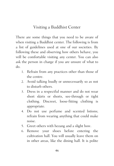# Visiting a Buddhist Center

There are some things that you need to be aware of when visiting a Buddhist center. The following is from a list of guidelines used at one of our societies. By following these and observing how others behave, you will be comfortable visiting any center. You can also ask the person in charge if you are unsure of what to do.

- 1. Refrain from any practices other than those of the centre.
- 2. Avoid talking loudly or unnecessarily so as not to disturb others.
- 3. Dress in a respectful manner and do not wear short skirts or shorts, see-through or tight clothing. Discreet, loose-fitting clothing is appropriate.
- 4. Do not use perfume and scented lotions; refrain from wearing anything that could make noise.
- 5. Greet others with hezang and a slight bow.
- 6. Remove your shoes before entering the cultivation hall. You will usually leave them on in other areas, like the dining hall. It is polite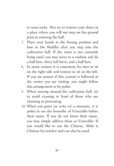to wear socks. Also try to remove your shoes in a place where you will not step on the ground prior to entering the hall.

- 7. Place your hands in the hezang position and bow to the Buddha after you step into the cultivation hall. If the room is not currently being used, you may move to a cushion and do a half bow, three full bows, and a half bow.
- 8. In many centers it is customary for men to sit on the right side and women to sit on the left. If you are unsure if this custom is followed at the center you are visiting, you might follow this arrangement to be polite.
- 9. When moving around the cultivation hall, try to avoid crossing in front of those who are chanting or prostrating.
- 10. When you greet (or write to) a monastic, it is polite to use the honorific of Venerable before their name. If you do not know their name, you may simply address them as Venerable. If you would like to use the Chinese, Shifu is Chinese for teacher and can also be used.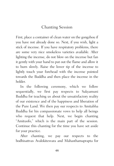# Chanting Session

First, place a container of clean water on the gongzhou if you have not already done so. Next, if you wish, light a stick of incense. If you have respiratory problems, there are some very nice smokeless varieties available. After lighting the incense, do not blow on the incense but fan it gently with your hand to put out the flame and allow it to burn slowly. Raise the lower tip of the incense to lightly touch your forehead with the incense pointed towards the Buddha and then place the incense in the holder.

In the following ceremony, which we follow sequentially, we first pay respects to Sakyamuni Buddha for teaching us about the unsatisfactory reality of our existence and of the happiness and liberation of the Pure Land. We then pay our respects to Amitabha Buddha for his compassionate vows to help all beings who request that help. Next, we begin chanting "Amituofo," which is the main part of the session. Continue this chanting for the time you have set aside for your practice.

After chanting, we pay our respects to the bodhisattvas Avalokitesvara and Mahasthamaprapta for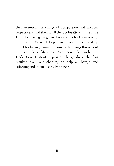their exemplary teachings of compassion and wisdom respectively, and then to all the bodhisattvas in the Pure Land for having progressed on the path of awakening. Next is the Verse of Repentance to express our deep regret for having harmed innumerable beings throughout our countless lifetimes. We conclude with the Dedication of Merit to pass on the goodness that has resulted from our chanting to help all beings end suffering and attain lasting happiness.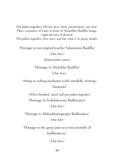Put palms together. Do one bow, three prostrations, one bow. Place container of water in front of Amitabha Buddha image. Light incense if desired. Put palms together, bow once and say what is in quote marks.

"Homage to our original teacher Sakyamuni Buddha"

(One bow)

(Repeat three times)

"Homage to Amitabha Buddha" (One bow)

(Sitting or walking meditation while mindfully chanting) "Amituofo"

(When finished, stand and put palms together) "Homage to Avalokitesvara Bodhisattva"

(One bow)

"Homage to Mahasthamaprapta Bodhisattva" (One bow)

"Homage to the great pure sea-vast assembly of bodhisattvas."

(One bow)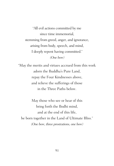"All evil actions committed by me since time immemorial, stemming from greed, anger, and ignorance, arising from body, speech, and mind, I deeply repent having committed." (One bow)

"May the merits and virtues accrued from this work adorn the Buddha's Pure Land, repay the Four Kindnesses above, and relieve the sufferings of those in the Three Paths below.

May those who see or hear of this bring forth the Bodhi mind, and at the end of this life, be born together in the Land of Ultimate Bliss." (One bow, three prostrations, one bow)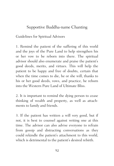## Supportive Buddha-name Chanting

Guidelines for Spiritual Advisors

1. Remind the patient of the suffering of this world and the joys of the Pure Land to help strengthen his or her vow to be reborn into there. The spiritual advisor should also enumerate and praise the patient's good deeds, merits, and virtues. This will help the patient to be happy and free of doubts, certain that when the time comes to die, he or she will, thanks to his or her good deeds, vows, and practice, be reborn into the Western Pure Land of Ultimate Bliss.

2. It is important to remind the dying person to cease thinking of wealth and property, as well as attachments to family and friends.

3. If the patient has written a will very good, but if not, it is best to counsel against writing one at this time. The advisor can also advise everyone to refrain from gossip and distracting conversations as they could rekindle the patient's attachment to this world, which is detrimental to the patient's desired rebirth.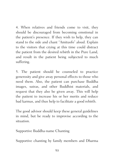4. When relatives and friends come to visit, they should be discouraged from becoming emotional in the patient's presence. If they wish to help, they can stand to the side and chant "Amituofo" aloud. Explain to the visitors that crying at this time could distract the patient from the desired rebirth in the Pure Land, and result in the patient being subjected to much suffering.

5. The patient should be counseled to practice generosity and give away personal effects to those who need them. Also, the patient can purchase Buddha images, sutras, and other Buddhist materials, and request that they also be given away. This will help the patient to increase his or her merits and reduce bad karmas, and thus help to facilitate a good rebirth.

The good advisor should keep these general guidelines in mind, but be ready to improvise according to the situation.

Supportive Buddha-name Chanting

Supportive chanting by family members and Dharma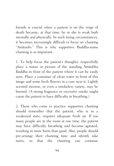friends is crucial when a patient is on the verge of death because, at that time, he or she is weak both mentally and physically. In such trying circumstances, it becomes increasingly difficult to focus on chanting "Amituofo." This is why supportive Buddha-name chanting is so important.

1. To help focus the patient's thoughts, respectfully place a statue or picture of the standing Amitabha Buddha in front of the patient where it can be easily seen. Place a container of clean water in front of this image and some fresh flowers in a vase near it. Lightly scented incense, or even a smokeless variety, may be burned. (A strong fragrance or excessive smoke might cause the patient to have difficulty in breathing.)

2. Those who come to practice supportive chanting should remember that the patient, who is in a weakened state, requires adequate fresh air. If too many people are in the room at one time, the patient may have difficulty breathing and become agitated, resulting in more harm than good. Also, people should pre-arrange their chanting time and silently take turns, so that the chanting can continue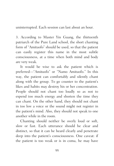uninterrupted. Each session can last about an hour.

3. According to Master Yin Guang, the thirteenth patriarch of the Pure Land school, the short chanting form of "Amituofo" should be used, so that the patient can easily register this name in the most subtle consciousness, at a time when both mind and body are very weak.

It would be wise to ask the patient which is preferred—"Amituofo" or "Namo Amituofo." In this way, the patient can comfortably and silently chant along with the group. To go counter to the patient's likes and habits may destroy his or her concentration. People should not chant too loudly so as not to expend too much energy and shorten the time they can chant. On the other hand, they should not chant in too low a voice or the sound might not register in the patient's mind. Also, they should not speak to one another while in the room.

Chanting should neither be overly loud or soft, slow or fast. Each utterance should be clear and distinct, so that it can be heard clearly and penetrate deep into the patient's consciousness. One caveat: if the patient is too weak or is in coma, he may have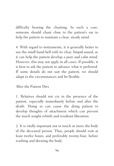difficulty hearing the chanting. In such a case, someone should chant close to the patient's ear to help the patient to maintain a clear, steady mind.

4. With regard to instruments, it is generally better to use the small hand bell with its clear, limpid sound, as it can help the patient develop a pure and calm mind. However, this may not apply in all cases. If possible, it is best to ask the patient in advance what is preferred. If some details do not suit the patient, we should adapt to the circumstances and be flexible.

After the Patient Dies

1. Relatives should not cry in the presence of the patient, especially immediately before and after the death. Doing so can cause the dying patient to develop thoughts of attachment which can prevent the much sought rebirth and resultant liberation.

2. It is vitally important not to touch or move the body of the deceased person. Thus, people should wait at least twelve hours, and preferably twenty-four, before washing and dressing the body.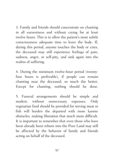3. Family and friends should concentrate on chanting in all earnestness and without crying for at least twelve hours. This is to allow the patient's most subtle consciousness adequate time to leave the body. If, during this period, anyone touches the body or cries, the deceased may still experience feelings of pain, sadness, anger, or self-pity, and sink again into the realms of suffering.

4. During the minimum twelve-hour period (twentyfour hours is preferable), if people can remain chanting near the deceased, so much the better. Except for chanting, nothing should be done.

5. Funeral arrangements should be simple and modest, without unnecessary expenses. Only vegetarian food should be provided for serving meat or fish will burden the departed with more karmic obstacles, making liberation that much more difficult. It is important to remember that even those who have been already been reborn into the Pure Land may still be affected by the behavior of family and friends acting on behalf of the deceased.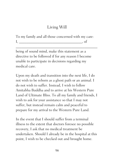# Living Will

To my family and all those concerned with my care:  $I, \quad \text{if}$ 

\_\_\_\_\_\_\_\_\_\_\_\_\_\_\_\_\_\_\_\_\_\_\_\_\_\_\_\_\_\_\_\_\_\_\_\_\_\_\_\_\_\_\_\_

being of sound mind, make this statement as a directive to be followed if for any reason I become unable to participate in decisions regarding my medical care.

Upon my death and transition into the next life, I do not wish to be reborn as a ghost path or an animal. I do not wish to suffer. Instead, I wish to follow Amitabha Buddha and to arrive at his Western Pure Land of Ultimate Bliss. To all my family and friends, I wish to ask for your assistance so that I may not suffer, but instead remain calm and peaceful to prepare for my arrival to the Western Pure Land.

In the event that I should suffer from a terminal illness to the extent that doctors foresee no possible recovery, I ask that no medical treatment be undertaken. Should I already be in the hospital at this point, I wish to be checked out and brought home.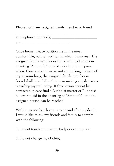Please notify my assigned family member or friend

at telephone number $(s)$ and \_\_\_\_\_\_\_\_\_\_\_\_\_\_\_\_\_\_\_\_\_\_\_\_\_.

\_\_\_\_\_\_\_\_\_\_\_\_\_\_\_\_\_\_\_\_\_\_\_\_\_\_\_\_\_\_\_\_\_\_

Once home, please position me in the most comfortable, natural position in which I may rest. The assigned family member or friend will lead others in chanting "Amituofo." Should I decline to the point where I lose consciousness and am no longer aware of my surroundings, the assigned family member or friend shall have full authority in making any decisions regarding my well-being. If this person cannot be contacted, please find a Buddhist master or Buddhist believer to aid in the chanting of "Amituofo" until the assigned person can be reached.

Within twenty-four hours prior to and after my death, I would like to ask my friends and family to comply with the following:

- 1. Do not touch or move my body or even my bed.
- 2. Do not change my clothing.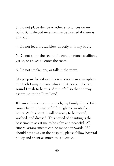3. Do not place dry ice or other substances on my body. Sandalwood incense may be burned if there is any odor.

4. Do not let a breeze blow directly onto my body.

5. Do not allow the scent of alcohol, onions, scallions, garlic, or chives to enter the room.

6. Do not smoke, cry, or talk in the room.

My purpose for asking this is to create an atmosphere in which I may remain calm and at peace. The only sound I wish to hear is "Amituofo," so that he may escort me to the Pure Land.

If I am at home upon my death, my family should take turns chanting "Amituofo" for eight to twenty-four hours. At this point, I will be ready to be moved, washed, and dressed. This period of chanting is the best time to assist me to be calm and peaceful. All funeral arrangements can be made afterwards. If I should pass away in the hospital, please follow hospital policy and chant as much as is allowed.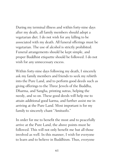During my terminal illness and within forty-nine days after my death, all family members should adopt a vegetarian diet. I do not wish for any killing to be associated with my death. All funeral offerings must be vegetarian. The use of alcohol is strictly prohibited. Funeral arrangements should be kept simple, and proper Buddhist etiquette should be followed. I do not wish for any unnecessary excess.

Within forty-nine days following my death, I sincerely ask my family members and friends to seek my rebirth into the Pure Land, and to perform good deeds such as giving offerings to the Three Jewels of the Buddha, Dharma, and Sangha, printing sutras, helping the needy, and so on. These good deeds will help me to attain additional good karma, and further assist me in arriving at the Pure Land. Most important is for my family to sincerely chant "Amituofo."

In order for me to benefit the most and to peacefully arrive at the Pure Land, the above points must be followed. This will not only benefit me but all those involved as well. In this manner, I wish for everyone to learn and to believe in Buddhism. Thus, everyone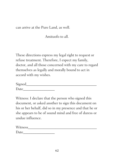can arrive at the Pure Land, as well.

Amituofo to all.

These directions express my legal right to request or refuse treatment. Therefore, I expect my family, doctor, and all those concerned with my care to regard themselves as legally and morally bound to act in accord with my wishes.

| Signed |  |  |
|--------|--|--|
| Date   |  |  |

Witness: I declare that the person who signed this document, or asked another to sign this document on his or her behalf, did so in my presence and that he or she appears to be of sound mind and free of duress or undue influence.

| Witness |  |  |
|---------|--|--|
| Date    |  |  |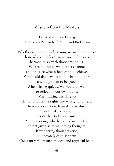## Wisdom from the Masters

Great Master Yin Guang Thirteenth Patriarch of Pure Land Buddhism

Whether a lay or a monk or nun, we need to respect those who are older than we are and to exist harmoniously with those around us. We are to endure what others cannot and practice what others cannot achieve. We should do all we can on behalf of others and help them to be good. When sitting quietly, we would do well to reflect on our own faults. When talking with friends do not discuss the rights and wrongs of others. In our every action, from dawn to dusk and dusk to dawn, recite the Buddha's name. When reciting, whether aloud or silently, do not give rise to wandering thoughts. If wandering thoughts arise, immediately dismiss them. Constantly maintain a modest and regretful heart.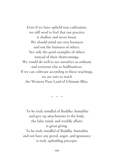Even if we have upheld true cultivation, we still need to feel that our practice is shallow and never boast. We should mind our own business and not the business of others. See only the good examples of others instead of their shortcomings. We would do well to see ourselves as ordinary and everyone else as bodhisattvas. If we can cultivate according to these teachings, we are sure to reach the Western Pure Land of Ultimate Bliss.

 $\sim$   $\sim$   $\sim$ 

To be truly mindful of Buddha Amitabha and give up attachments to the body, the false mind, and worldly affairs is great giving. To be truly mindful of Buddha Amitabha and not have any greed, anger, and ignorance is truly upholding precepts.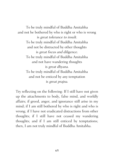To be truly mindful of Buddha Amitabha and not be bothered by who is right or who is wrong is great tolerance to insult. To be truly mindful of Buddha Amitabha and not be distracted by other thoughts is great focus and diligence. To be truly mindful of Buddha Amitabha and not have wandering thoughts is great dhyana. To be truly mindful of Buddha Amitabha and not be enticed by any temptation is great prajna.

Try reflecting on the following: If I still have not given up the attachments to body, false mind, and worldly affairs; if greed, anger, and ignorance still arise in my mind; if I am still bothered by who is right and who is wrong; if I have not eradicated distractions from other thoughts; if I still have not ceased my wandering thoughts; and if I am still enticed by temptations; then, I am not truly mindful of Buddha Amitabha.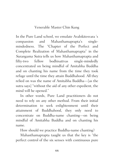# Venerable Master Chin Kung

In the Pure Land school, we emulate Avalokitesvara 's compassion and Mahasthamaprapta's singlemindedness. The "Chapter of the Perfect and Complete Realization of Mahasthamaprapta" in the Surangama Sutra tells us how Mahasthamaprapta and fifty-two fellow bodhisattvas single-mindedly concentrated on being mindful of Amitabha Buddha and on chanting his name from the time they took refuge until the time they attain Buddhahood. All they relied on was the name of Amitabha Buddha—[as the sutra says] "without the aid of any other expedient, the mind will be opened."

In other words, Pure Land practitioners do not need to rely on any other method. From their initial determination to seek enlightenment until their attainment of Buddhahood, they only need to concentrate on Buddha-name chanting—on being mindful of Amitabha Buddha and on chanting his name.

How should we practice Buddha-name chanting?

Mahasthamaprapta taught us that the key is "the perfect control of the six senses with continuous pure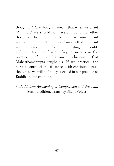thoughts." "Pure thoughts" means that when we chant "Amituofo" we should not have any doubts or other thoughts. The mind must be pure; we must chant with a pure mind. "Continuous" means that we chant with no interruption. "No intermingling, no doubt, and no interruption" is the key to success in the practice of Buddha-name chanting that Mahasthamaprapta taught us. If we practice "the perfect control of the six senses with continuous pure thoughts," we will definitely succeed in our practice of Buddha-name chanting.

# $\sim$  Buddhism: Awakening of Compassion and Wisdom, Second edition, Trans. by Silent Voices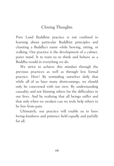# Closing Thoughts

Pure Land Buddhist practice is not confined to learning about particular Buddhist principles and chanting a Buddha's name while bowing, sitting, or walking. Our practice is the development of a calmer, purer mind. It to train us to think and behave as a Buddha would in everything we do.

We strive to achieve this mindset through the previous practices as well as through less formal practice. How? By reminding ourselves daily that while all of us have many shortcomings, we should only be concerned with our own. By understanding causality and not blaming others for the difficulties in our lives. And by realizing that all beings suffer and that only when we awaken can we truly help others to be free from pain.

Ultimately, our practice will enable us to have loving-kindness and patience held equally and joyfully for all.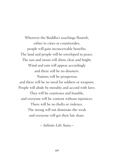Wherever the Buddha's teachings flourish, either in cities or countrysides, people will gain inconceivable benefits. The land and people will be enveloped in peace. The sun and moon will shine clear and bright. Wind and rain will appear accordingly and there will be no disasters. Nations will be prosperous and there will be no need for soldiers or weapons. People will abide by morality and accord with laws. They will be courteous and humble, and everyone will be content without injustices. There will be no thefts or violence. The strong will not dominate the weak and everyone will get their fair share.

 $\sim$  Infinite Life Sutra  $\sim$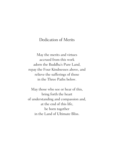# Dedication of Merits

May the merits and virtues accrued from this work adorn the Buddha's Pure Land, repay the Four Kindnesses above, and relieve the sufferings of those in the Three Paths below.

May those who see or hear of this, bring forth the heart of understanding and compassion and, at the end of this life, be born together in the Land of Ultimate Bliss.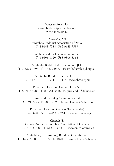#### Ways to Reach Us

www.abuddhistperspective.org www.abrc.org.au

## Australia [61]

Amitabha Buddhist Association of NSW T: 2-9643-7588 F: 2-9643-7599

Amitabha Buddhist Association of Perth T: 8-9306-8120 F: 8-9306-8366

Amitabha Buddhist Association of QLD T: 7-3273-1693 F: 7-3272-0677 E: amtb@amtb-qld.org.au

Amitabha Buddhist Retreat Centre T: 7-4171-0421 F: 7-4171-0413 www.abrc.org.au

Pure Land Learning Center of the NT T: 8-8927-4988 F: 8-8981-3516 E: purelandnt@tchia.com

Pure Land Learning Center of Victoria T: 3-9891-7093 F: 9891-7093 E: purelandvic@yahoo.com

Pure Land Learning College (Toowoomba) T: 7-4637-8765 F: 7-4637-8764 www.amtb-aus.org

## Canada<sup>[1]</sup>

Ottawa Amitabha Buddhist Association of Canada T: 613-723-9683 F: 613-723-6316 www.amtb-ottawa.ca

Amitabha (Six Harmony) Buddhist Organization T: 416-265-9838 F: 905-947-1870 E: amtb6hcan@yahoo.ca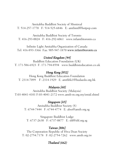Amitabha Buddhist Society of Montreal T: 514-257-1770 F: 514-525-6846 E: amtbmtl@hotpop.com

Amitabha Buddhist Society of Toronto T: 416-293-0024 F: 416-292-6061 www.infamtbtoronto.ca

Infinite Light Amitabha Organization of Canada Tel: 416-893-3366 Fax: 905-947-1870 www.infamtbtoronto.ca

# United Kingdom [44]

Buddhist Education Foundation (UK) T: 171-586-6923 F: 171-794-8594 www.buddhisteducation.co.uk

# Hong Kong [852]

Hong Kong Buddhist Education Foundation T: 2314-7099 F: 2314-1929 E: amtbhk1@budaedu.org.hk

## Malaysia [60]

Amitabha Buddhist Society (Malaysia) T:03-4041-4101 F:03-4041-2172 www.amtb-m.org.my/emid.shtml

## Singapore [65]

Amitabha Buddhist Society (S) T: 6744-7444 F: 6744-4774 E: abss@amtb.org.sg

Singapore Buddhist Lodge T: 6737-2630 F: 6737-0877 E: sbl@sbl.org.sg

## Taiwan [886]

The Corporation Republic of Hwa Dzan Society T: 02-2754.7178 F: 02-2754-7262 www.amtb.org.tw

# Thailand (662)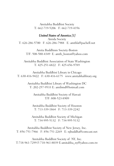Amitabha Buddhist Society T: 662-719-5206 F: 662-719-4356

#### United States of America [1]

Amida Society T: 626-286-5700 F: 626-286-7988 E: amtbla@pacbell.net

Amita Buddhism Society-Boston T/F: 508-580-4349 E: amtb\_boston@yahoo.com

Amitabha Buddhist Association of State Washington T: 425-251-6822 F: 425-656-9789

Amitabha Buddhist Library in Chicago T: 630-416-9422 F: 630-416-6175 www.amitabhalibrary.org

> Amitabha Buddhist Library of Washington DC T: 202-257-9533 E: amtbmd@hotmail.com

Amitabha Buddhist Society of Hawaii T/F: 808-523-8909

Amitabha Buddhist Society of Houston T: 713-339-1864 F: 713-339-2242

Amitabha Buddhist Society of Michigan T: 734-995-5132 F: 734-995-5132

Amitabha Buddhist Society of New Jersey, Inc. T: 856-751-7966 F: 856-751-2269 E: njbuddha@comcast.net

Amitabha Buddhist Society of NY, Inc. T:718-961-7299 F:718-961-8039 E:amitabha\_ny@yahoo.com.tw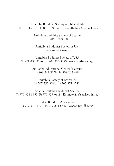Amitabha Buddhist Society of Philadelphia T: 856-424-2516 F: 856-489-8528 E: amtbphila@hotmail.com

> Amitabha Buddhist Society of Seattle T: 206-624-9378

Amitabha Buddhist Society at UK www.ku.edu/~amtb

Amitabha Buddhist Society of USA T: 408-736-3386 F: 408-736-3389 www.amtb-usa.org

> Amitabha Educational Center (Hawaii) T: 808-262-5279 F: 808-262-498

Amitabha Society of Las Vegas T: 707-252-3042 F: 707-871-3542

Atlanta Amitabha Buddhist Society T: 770-923-8955 F: 770-925-0618 E: mietoville@bellsouth.net

Dallas Buddhist Association T: 972-234-4401 F: 972-234-8342 www.amtb-dba.org